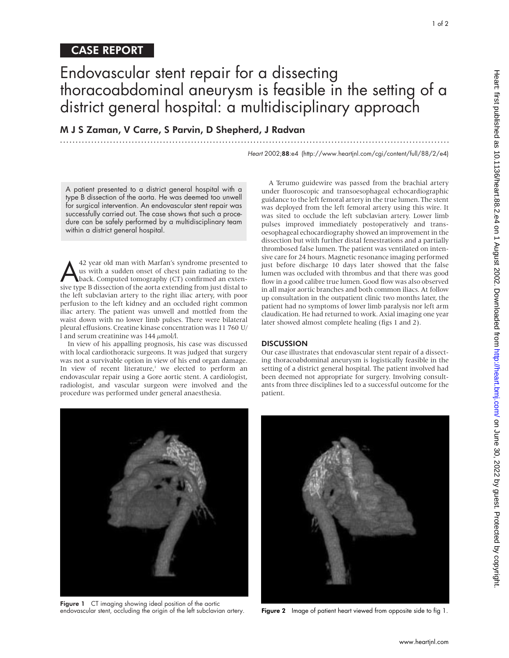# CASE REPORT

# Endovascular stent repair for a dissecting thoracoabdominal aneurysm is feasible in the setting of a district general hospital: a multidisciplinary approach

.............................................................................................................................

M J S Zaman, V Carre, S Parvin, D Shepherd, J Radvan

Heart 2002;88:e4 (http://www.heartjnl.com/cgi/content/full/88/2/e4)

A patient presented to a district general hospital with a type B dissection of the aorta. He was deemed too unwell for surgical intervention. An endovascular stent repair was successfully carried out. The case shows that such a procedure can be safely performed by a multidisciplinary team within a district general hospital.

42 year old man with Marfan's syndrome presented to<br>us with a sudden onset of chest pain radiating to the<br>back. Computed tomography (CT) confirmed an exten-<br>sive type B dissection of the aorta extending from just distal to us with a sudden onset of chest pain radiating to the sive type B dissection of the aorta extending from just distal to the left subclavian artery to the right iliac artery, with poor perfusion to the left kidney and an occluded right common iliac artery. The patient was unwell and mottled from the waist down with no lower limb pulses. There were bilateral pleural effusions. Creatine kinase concentration was 11 760 U/ l and serum creatinine was  $144 \mu$ mol/l.

In view of his appalling prognosis, his case was discussed with local cardiothoracic surgeons. It was judged that surgery was not a survivable option in view of his end organ damage. In view of recent literature, $1$  we elected to perform an endovascular repair using a Gore aortic stent. A cardiologist, radiologist, and vascular surgeon were involved and the procedure was performed under general anaesthesia.

A Terumo guidewire was passed from the brachial artery under fluoroscopic and transoesophageal echocardiographic guidance to the left femoral artery in the true lumen. The stent was deployed from the left femoral artery using this wire. It was sited to occlude the left subclavian artery. Lower limb pulses improved immediately postoperatively and transoesophageal echocardiography showed an improvement in the dissection but with further distal fenestrations and a partially thrombosed false lumen. The patient was ventilated on intensive care for 24 hours. Magnetic resonance imaging performed just before discharge 10 days later showed that the false lumen was occluded with thrombus and that there was good flow in a good calibre true lumen. Good flow was also observed in all major aortic branches and both common iliacs. At follow up consultation in the outpatient clinic two months later, the patient had no symptoms of lower limb paralysis nor left arm claudication. He had returned to work. Axial imaging one year later showed almost complete healing (figs 1 and 2).

#### **DISCUSSION**

Our case illustrates that endovascular stent repair of a dissecting thoracoabdominal aneurysm is logistically feasible in the setting of a district general hospital. The patient involved had been deemed not appropriate for surgery. Involving consultants from three disciplines led to a successful outcome for the patient.

Figure 1 CT imaging showing ideal position of the aortic<br>endovascular stent, occluding the origin of the left subclavian artery.

Figure 2 Image of patient heart viewed from opposite side to fig 1.